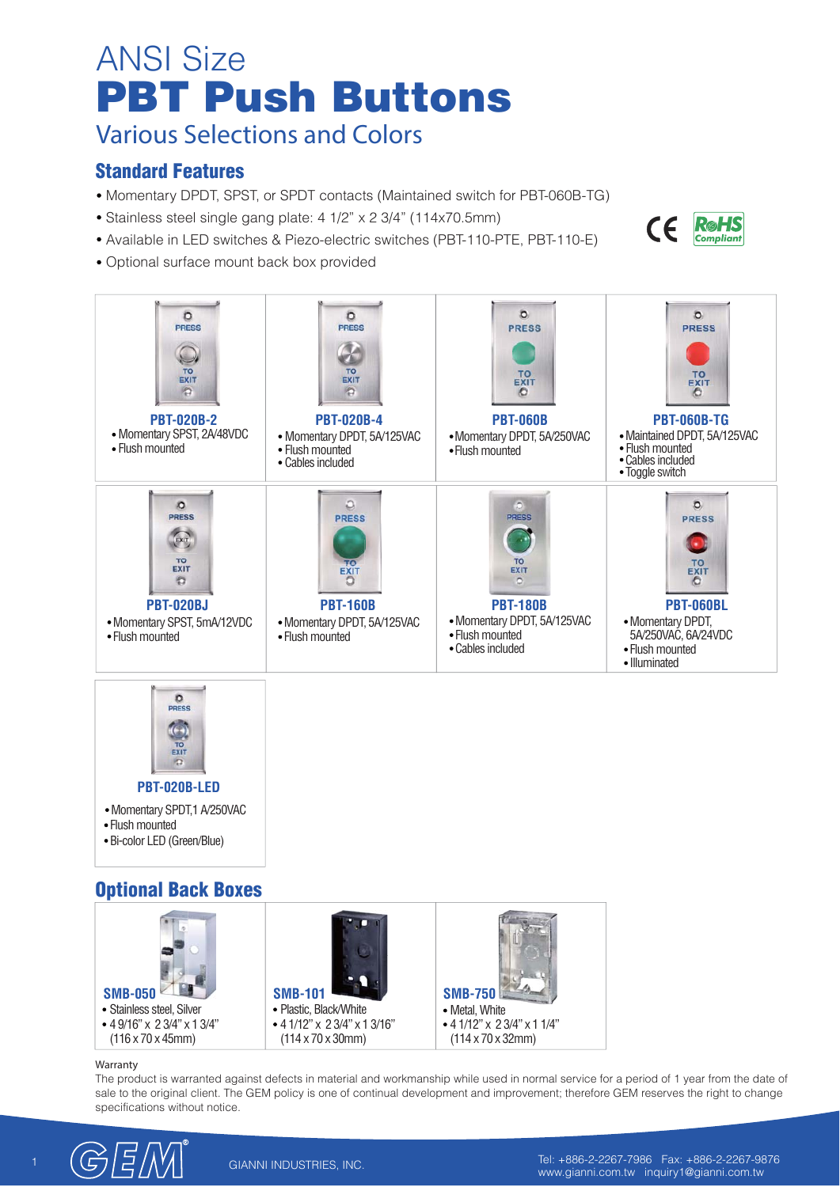# **PBT Push Buttons** ANSI Size

**Various Selections and Colors**

### **Standard Features**

- Momentary DPDT, SPST, or SPDT contacts (Maintained switch for PBT-060B-TG)
- Stainless steel single gang plate: 4 1/2" x 2 3/4" (114x70.5mm)
- Available in LED switches & Piezo-electric switches (PBT-110-PTE, PBT-110-E)
- Optional surface mount back box provided





#### **Warranty**

**PBT-020B-LED**

The product is warranted against defects in material and workmanship while used in normal service for a period of 1 year from the date of sale to the original client. The GEM policy is one of continual development and improvement; therefore GEM reserves the right to change specifications without notice.



**RøHS** 

**Compliant** 

 $\epsilon$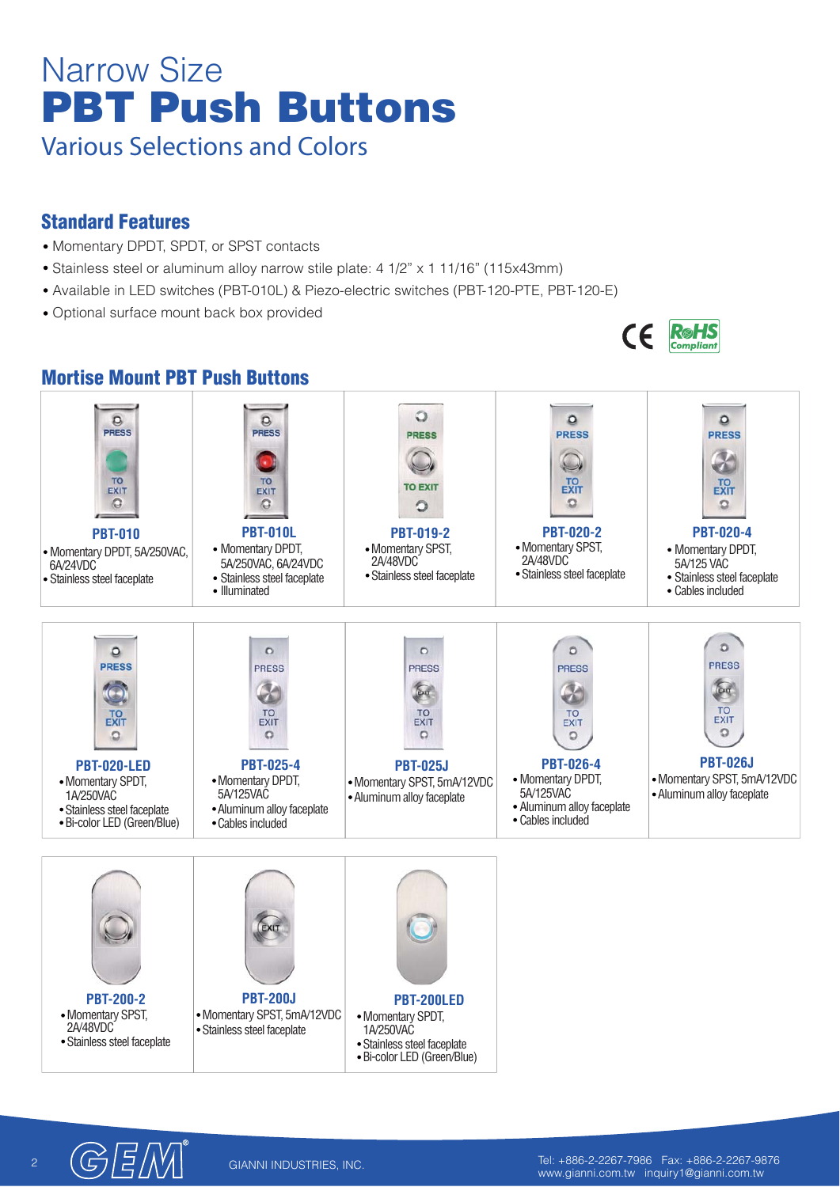# **PBT Push Buttons** Narrow Size **Various Selections and Colors**

### **Standard Features**

- Momentary DPDT, SPDT, or SPST contacts
- Stainless steel or aluminum alloy narrow stile plate: 4 1/2" x 1 11/16" (115x43mm)
- Available in LED switches (PBT-010L) & Piezo-electric switches (PBT-120-PTE, PBT-120-E)
- Optional surface mount back box provided



#### **Mortise Mount PBT Push Buttons**  $\circ$  $\Omega$  $\circ$  $\circ$  $\Omega$ PRESS **PRESS PRESS PRESS PRESS**  $\bigodot$ Ø TO TO **TO**<br>EXIT **TO**<br>EXIT **TO EXIT** EXIT EXIT  $\circ$  $\circ$  $\Omega$  $\circ$  $\Omega$ **PBT-020-2 PBT-010L PBT-010 PBT-020-4 PBT-019-2** • Momentary SPST,<br>2A/48VDC • Momentary DPDT, • Momentary DPDT. • Momentary SPST, • Momentary DPDT, 5A/250VAC, 2A/48VDC 5A/250VAC, 6A/24VDC 5A/125 VAC<br>• Stainless steel faceplate 6A/24VDC<br>Stainless steel faceplate Stainless steel faceplate Stainless steel faceplate Stainless steel faceplate Stainless steel faceplate Stainless steel faceplate Stainless steel faceplate Stainless steel faceplate Cables included • Illuminated  $\circ$  $\circ$  $\Omega$  $\circ$  $\circ$ **PRESS PRESS** PRESS PRESS **PRESS**  $60$  $60$ Ø TO<br>EXIT TO<br>EXIT **TO TO**  $T<sub>ext}</sub>$ EXIT **EXIT**  $\circ$  $\Omega$  $\Omega$  $\circ$  $\circ$ **PBT-026J PBT-020-LED PBT-025-4 PBT-026-4 PBT-025J** • Momentary DPDT. • Momentary DPDT, Momentary SPST, 5mA/12VDC • Momentary SPDT, Momentary SPST, 5mA/12VDC 5A/125VAC 5A/125VAC Aluminum alloy faceplate 1A/250VAC Aluminum alloy faceplate Aluminum alloy faceplate Aluminum alloy faceplate Stainless steel faceplate Cables included Bi-color LED (Green/Blue) Cables included

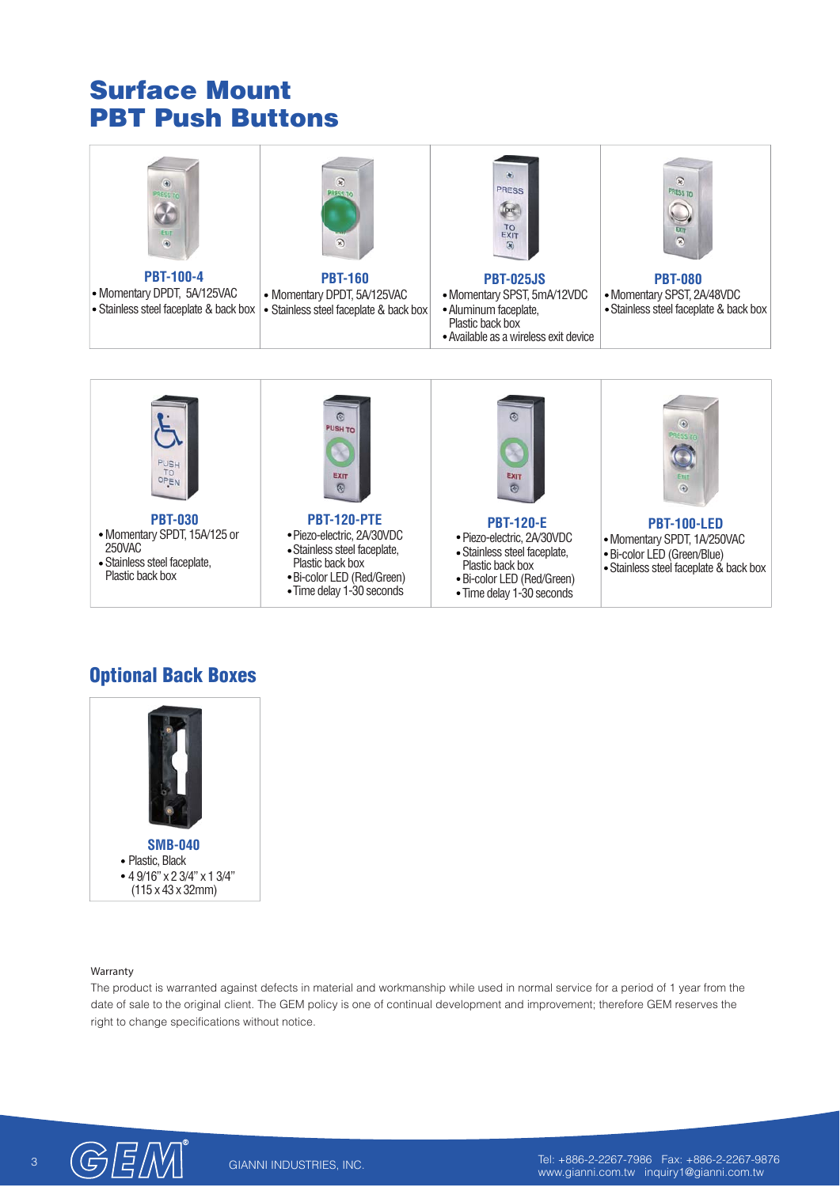# **PBT Push Buttons Surface Mount**



## **Optional Back Boxes**



### **Warranty**

The product is warranted against defects in material and workmanship while used in normal service for a period of 1 year from the date of sale to the original client. The GEM policy is one of continual development and improvement; therefore GEM reserves the right to change specifications without notice.

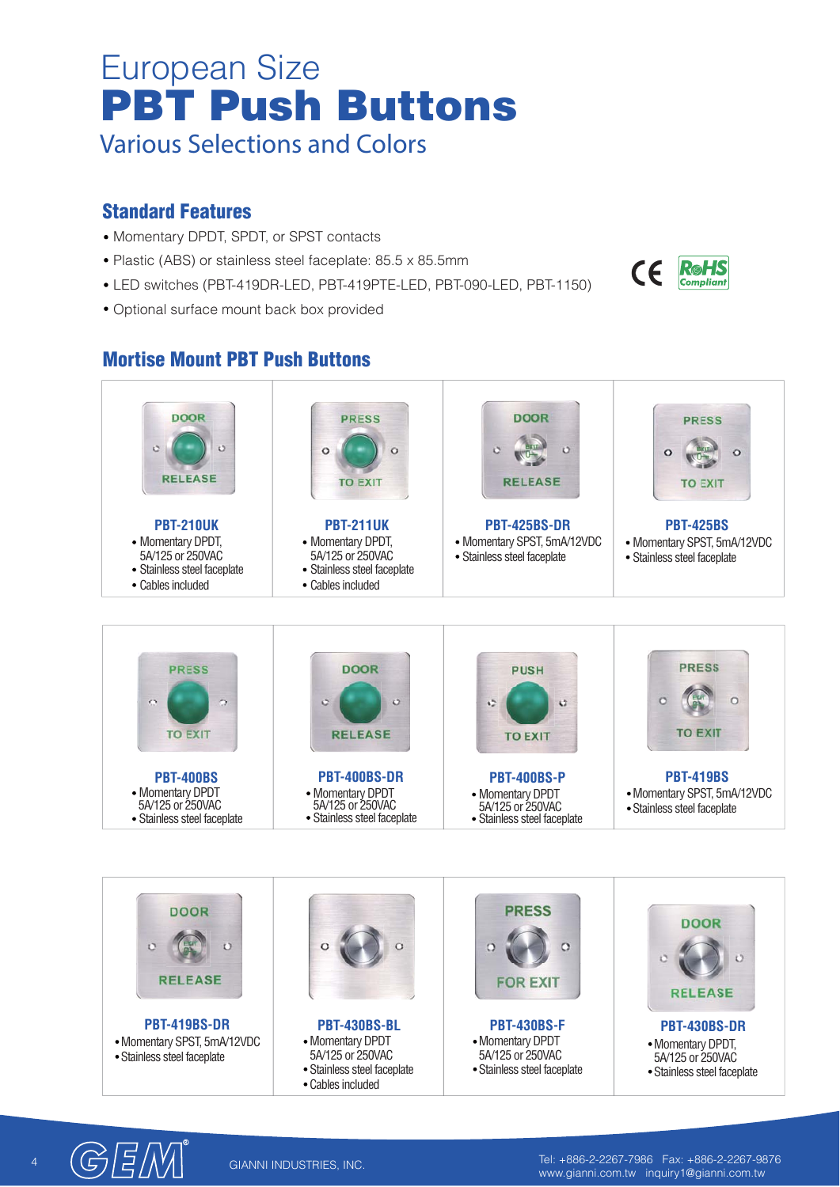# **PBT Push Buttons** European Size **Various Selections and Colors**

### **Standard Features**

- Momentary DPDT, SPDT, or SPST contacts
- Plastic (ABS) or stainless steel faceplate: 85.5 x 85.5mm
- LED switches (PBT-419DR-LED, PBT-419PTE-LED, PBT-090-LED, PBT-1150)
- Optional surface mount back box provided

## **Mortise Mount PBT Push Buttons**



- Stainless steel faceplate 5A/125 or 250VAC
- Stainless steel faceplate

Stainless steel faceplate

Cables included

4 Tel: +886-2-2267-7986 Fax: +886-2-2267-9876 www.gianni.com.tw inquiry1@gianni.com.tw

 $\epsilon$ 

**R**øHS **Compliant**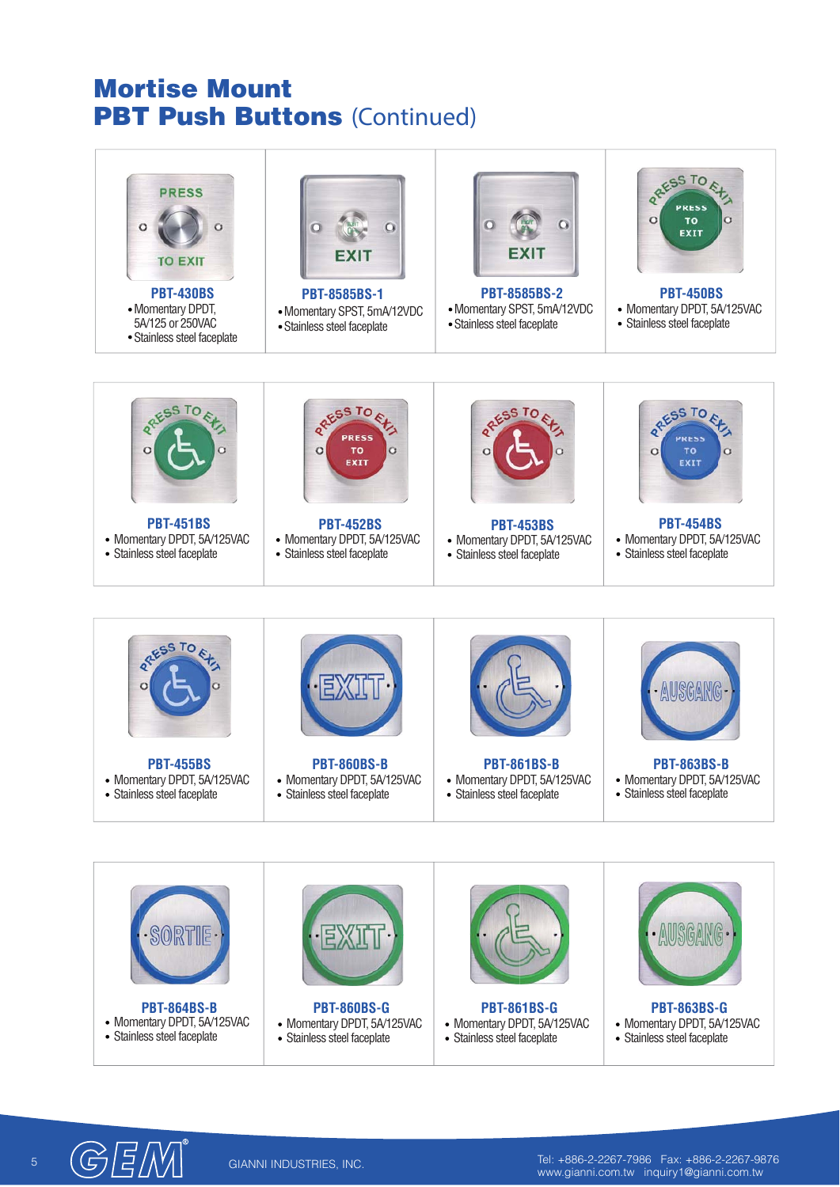## **PBT Push Buttons (Continued) Mortise Mount**



• Momentary DPDT, 5A/125VAC Stainless steel faceplate

• Momentary DPDT, 5A/125VAC Stainless steel faceplate

• Momentary DPDT, 5A/125VAC Stainless steel faceplate

 $\begin{bmatrix} 6 & \begin{bmatrix} 6 \end{bmatrix} & \begin{bmatrix} 6 \end{bmatrix} & \begin{bmatrix} 1 \end{bmatrix} \end{bmatrix}$  GIANNI INDUSTRIES, INC. www.gianni.com.tw inquiry1@gianni.com.tw

• Momentary DPDT, 5A/125VAC Stainless steel faceplate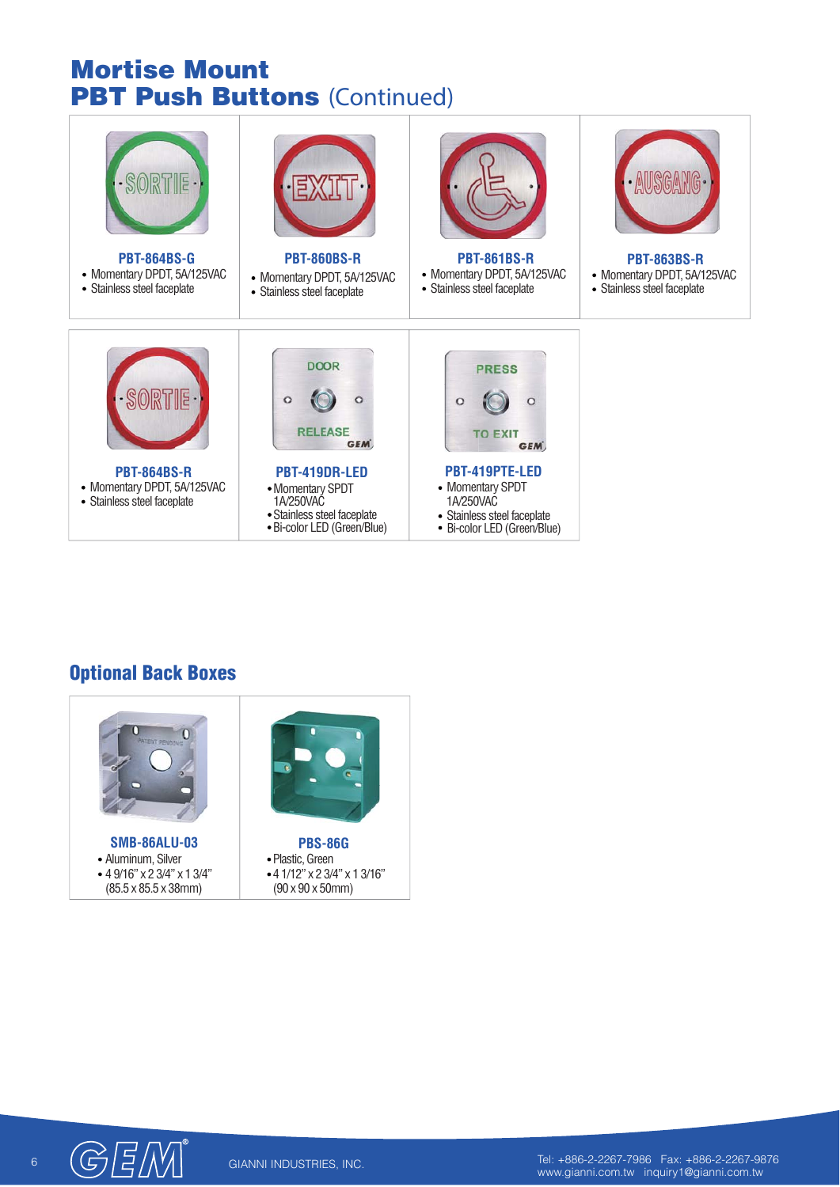# **PBT Push Buttons (Continued) Mortise Mount**

| <b>PBT-864BS-G</b><br>• Momentary DPDT, 5A/125VAC<br>• Stainless steel faceplate | <b>PBT-860BS-R</b><br>• Momentary DPDT, 5A/125VAC<br>• Stainless steel faceplate                                                                                      | <b>PBT-861BS-R</b><br>• Momentary DPDT, 5A/125VAC<br>• Stainless steel faceplate                                                                                   | AUSGA<br><b>PBT-863BS-R</b><br>• Momentary DPDT, 5A/125VAC<br>• Stainless steel faceplate |
|----------------------------------------------------------------------------------|-----------------------------------------------------------------------------------------------------------------------------------------------------------------------|--------------------------------------------------------------------------------------------------------------------------------------------------------------------|-------------------------------------------------------------------------------------------|
| <b>PBT-864BS-R</b><br>• Momentary DPDT, 5A/125VAC<br>• Stainless steel faceplate | <b>DOOR</b><br>o<br>o<br><b>RELEASE</b><br><b>GEM</b><br>PBT-419DR-LED<br>• Momentary SPDT<br>1A/250VAC<br>· Stainless steel faceplate<br>· Bi-color LED (Green/Blue) | <b>PRESS</b><br>O<br><b>TO EXIT</b><br><b>GEM</b><br>PBT-419PTE-LED<br>• Momentary SPDT<br>1A/250VAC<br>• Stainless steel faceplate<br>• Bi-color LED (Green/Blue) |                                                                                           |

## **Optional Back Boxes**